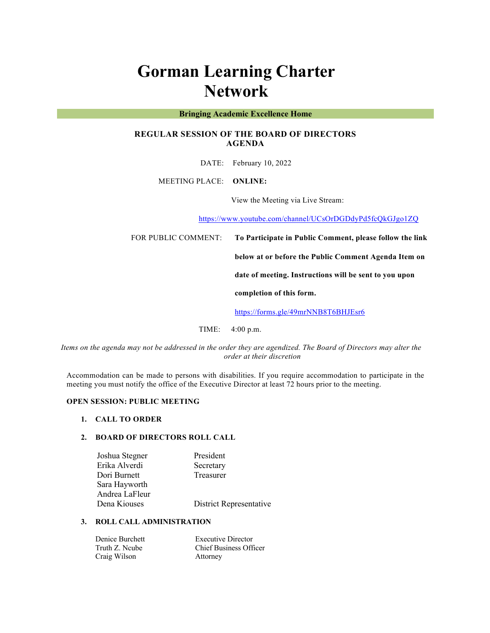# **Gorman Learning Charter Network**

## **Bringing Academic Excellence Home**

## **REGULAR SESSION OF THE BOARD OF DIRECTORS AGENDA**

DATE: February 10, 2022

MEETING PLACE: **ONLINE:** 

View the Meeting via Live Stream:

https://www.youtube.com/channel/UCsOrDGDdyPd5fcQkGJgo1ZQ

FOR PUBLIC COMMENT: **To Participate in Public Comment, please follow the link** 

**below at or before the Public Comment Agenda Item on** 

**date of meeting. Instructions will be sent to you upon** 

**completion of this form.**

https://forms.gle/49mrNNB8T6BHJEsr6

TIME: 4:00 p.m.

*Items on the agenda may not be addressed in the order they are agendized. The Board of Directors may alter the order at their discretion*

Accommodation can be made to persons with disabilities. If you require accommodation to participate in the meeting you must notify the office of the Executive Director at least 72 hours prior to the meeting.

## **OPEN SESSION: PUBLIC MEETING**

#### **1. CALL TO ORDER**

## **2. BOARD OF DIRECTORS ROLL CALL**

| Joshua Stegner | President               |
|----------------|-------------------------|
| Erika Alverdi  | Secretary               |
| Dori Burnett   | Treasurer               |
| Sara Hayworth  |                         |
| Andrea LaFleur |                         |
| Dena Kiouses   | District Representative |

## **3. ROLL CALL ADMINISTRATION**

| Denice Burchett | <b>Executive Director</b>     |
|-----------------|-------------------------------|
| Truth Z. Ncube  | <b>Chief Business Officer</b> |
| Craig Wilson    | Attorney                      |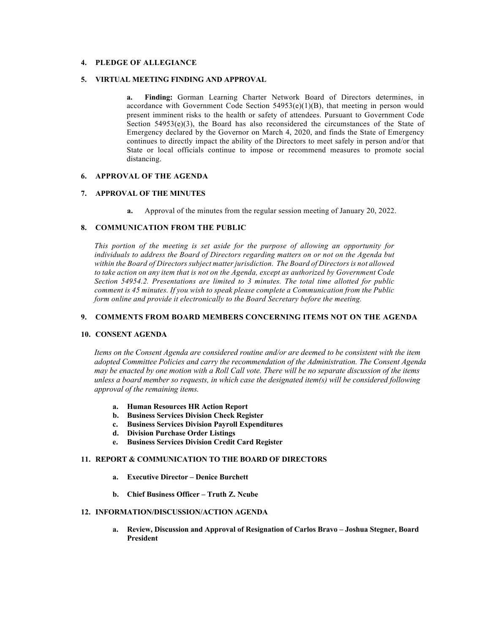## **4. PLEDGE OF ALLEGIANCE**

#### **5. VIRTUAL MEETING FINDING AND APPROVAL**

**a. Finding:** Gorman Learning Charter Network Board of Directors determines, in accordance with Government Code Section 54953(e)(1)(B), that meeting in person would present imminent risks to the health or safety of attendees. Pursuant to Government Code Section  $54953(e)(3)$ , the Board has also reconsidered the circumstances of the State of Emergency declared by the Governor on March 4, 2020, and finds the State of Emergency continues to directly impact the ability of the Directors to meet safely in person and/or that State or local officials continue to impose or recommend measures to promote social distancing.

## **6. APPROVAL OF THE AGENDA**

## **7. APPROVAL OF THE MINUTES**

**a.** Approval of the minutes from the regular session meeting of January 20, 2022.

#### **8. COMMUNICATION FROM THE PUBLIC**

*This portion of the meeting is set aside for the purpose of allowing an opportunity for individuals to address the Board of Directors regarding matters on or not on the Agenda but within the Board of Directors subject matter jurisdiction. The Board of Directors is not allowed to take action on any item that is not on the Agenda, except as authorized by Government Code Section 54954.2. Presentations are limited to 3 minutes. The total time allotted for public comment is 45 minutes. If you wish to speak please complete a Communication from the Public form online and provide it electronically to the Board Secretary before the meeting.*

## **9. COMMENTS FROM BOARD MEMBERS CONCERNING ITEMS NOT ON THE AGENDA**

### **10. CONSENT AGENDA**

*Items on the Consent Agenda are considered routine and/or are deemed to be consistent with the item adopted Committee Policies and carry the recommendation of the Administration. The Consent Agenda may be enacted by one motion with a Roll Call vote. There will be no separate discussion of the items unless a board member so requests, in which case the designated item(s) will be considered following approval of the remaining items.*

- **a. Human Resources HR Action Report**
- **b. Business Services Division Check Register**
- **c. Business Services Division Payroll Expenditures**
- **d. Division Purchase Order Listings**
- **e. Business Services Division Credit Card Register**

#### **11. REPORT & COMMUNICATION TO THE BOARD OF DIRECTORS**

- **a. Executive Director – Denice Burchett**
- **b. Chief Business Officer – Truth Z. Ncube**

### **12. INFORMATION/DISCUSSION/ACTION AGENDA**

**a. Review, Discussion and Approval of Resignation of Carlos Bravo – Joshua Stegner, Board President**